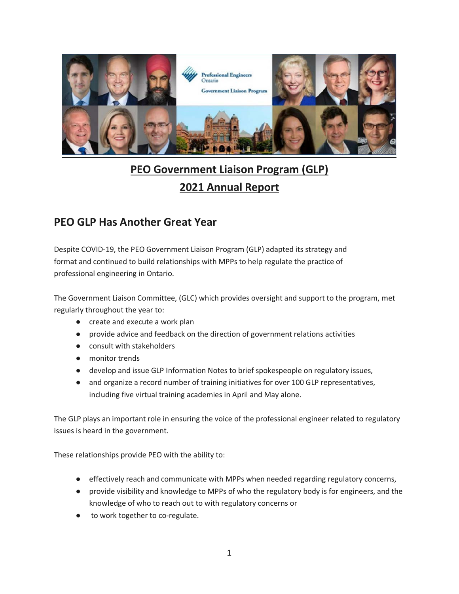

# **PEO Government Liaison Program (GLP) 2021 Annual Report**

# **PEO GLP Has Another Great Year**

Despite COVID-19, the PEO Government Liaison Program (GLP) adapted its strategy and format and continued to build relationships with MPPs to help regulate the practice of professional engineering in Ontario.

The Government Liaison Committee, (GLC) which provides oversight and support to the program, met regularly throughout the year to:

- create and execute a work plan
- provide advice and feedback on the direction of government relations activities
- consult with stakeholders
- monitor trends
- develop and issue GLP Information Notes to brief spokespeople on regulatory issues,
- and organize a record number of training initiatives for over 100 GLP representatives, including five virtual training academies in April and May alone.

The GLP plays an important role in ensuring the voice of the professional engineer related to regulatory issues is heard in the government.

These relationships provide PEO with the ability to:

- effectively reach and communicate with MPPs when needed regarding regulatory concerns,
- provide visibility and knowledge to MPPs of who the regulatory body is for engineers, and the knowledge of who to reach out to with regulatory concerns or
- to work together to co-regulate.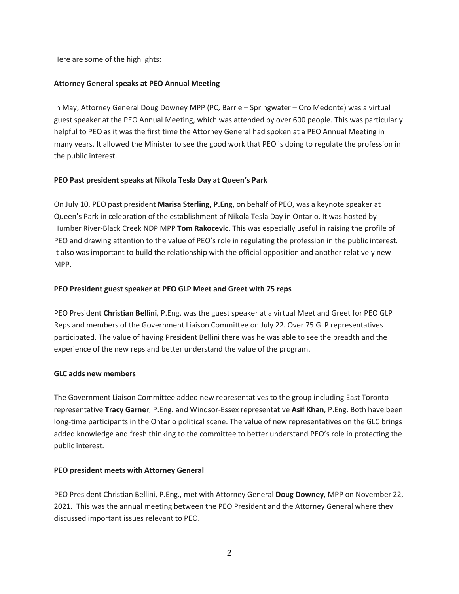Here are some of the highlights:

# **Attorney General speaks at PEO Annual Meeting**

In May, Attorney General Doug Downey MPP (PC, Barrie – Springwater – Oro Medonte) was a virtual guest speaker at the PEO Annual Meeting, which was attended by over 600 people. This was particularly helpful to PEO as it was the first time the Attorney General had spoken at a PEO Annual Meeting in many years. It allowed the Minister to see the good work that PEO is doing to regulate the profession in the public interest.

# **PEO Past president speaks at Nikola Tesla Day at Queen's Park**

On July 10, PEO past president **Marisa Sterling, P.Eng,** on behalf of PEO, was a keynote speaker at Queen's Park in celebration of the establishment of Nikola Tesla Day in Ontario. It was hosted by Humber River-Black Creek NDP MPP **Tom Rakocevic**. This was especially useful in raising the profile of PEO and drawing attention to the value of PEO's role in regulating the profession in the public interest. It also was important to build the relationship with the official opposition and another relatively new MPP.

# **PEO President guest speaker at PEO GLP Meet and Greet with 75 reps**

PEO President **Christian Bellini**, P.Eng. was the guest speaker at a virtual Meet and Greet for PEO GLP Reps and members of the Government Liaison Committee on July 22. Over 75 GLP representatives participated. The value of having President Bellini there was he was able to see the breadth and the experience of the new reps and better understand the value of the program.

#### **GLC adds new members**

The Government Liaison Committee added new representatives to the group including East Toronto representative **Tracy Garne**r, P.Eng. and Windsor-Essex representative **Asif Khan**, P.Eng. Both have been long-time participants in the Ontario political scene. The value of new representatives on the GLC brings added knowledge and fresh thinking to the committee to better understand PEO's role in protecting the public interest.

#### **PEO president meets with Attorney General**

PEO President Christian Bellini, P.Eng., met with Attorney General **Doug Downey**, MPP on November 22, 2021. This was the annual meeting between the PEO President and the Attorney General where they discussed important issues relevant to PEO.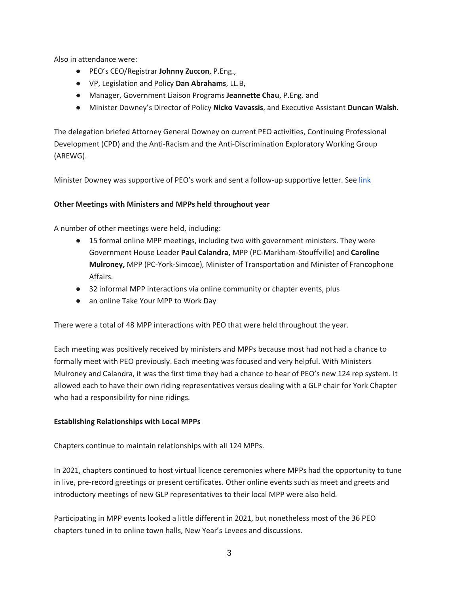Also in attendance were:

- PEO's CEO/Registrar **Johnny Zuccon**, P.Eng.,
- VP, Legislation and Policy **Dan Abrahams**, LL.B,
- Manager, Government Liaison Programs **Jeannette Chau**, P.Eng. and
- Minister Downey's Director of Policy **Nicko Vavassis**, and Executive Assistant **Duncan Walsh**.

The delegation briefed Attorney General Downey on current PEO activities, Continuing Professional Development (CPD) and the Anti-Racism and the Anti-Discrimination Exploratory Working Group (AREWG).

Minister Downey was supportive of PEO's work and sent a follow-up supportive letter. See link

# **Other Meetings with Ministers and MPPs held throughout year**

A number of other meetings were held, including:

- 15 formal online MPP meetings, including two with government ministers. They were Government House Leader **Paul Calandra,** MPP (PC-Markham-Stouffville) and **Caroline Mulroney,** MPP (PC-York-Simcoe), Minister of Transportation and Minister of Francophone Affairs.
- 32 informal MPP interactions via online community or chapter events, plus
- an online Take Your MPP to Work Day

There were a total of 48 MPP interactions with PEO that were held throughout the year.

Each meeting was positively received by ministers and MPPs because most had not had a chance to formally meet with PEO previously. Each meeting was focused and very helpful. With Ministers Mulroney and Calandra, it was the first time they had a chance to hear of PEO's new 124 rep system. It allowed each to have their own riding representatives versus dealing with a GLP chair for York Chapter who had a responsibility for nine ridings.

#### **Establishing Relationships with Local MPPs**

Chapters continue to maintain relationships with all 124 MPPs.

In 2021, chapters continued to host virtual licence ceremonies where MPPs had the opportunity to tune in live, pre-record greetings or present certificates. Other online events such as meet and greets and introductory meetings of new GLP representatives to their local MPP were also held.

Participating in MPP events looked a little different in 2021, but nonetheless most of the 36 PEO chapters tuned in to online town halls, New Year's Levees and discussions.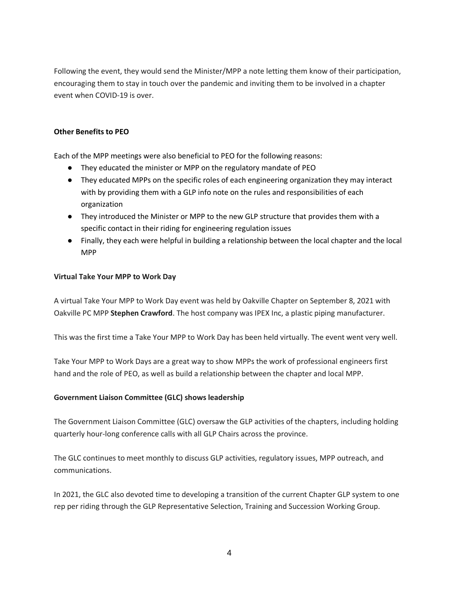Following the event, they would send the Minister/MPP a note letting them know of their participation, encouraging them to stay in touch over the pandemic and inviting them to be involved in a chapter event when COVID-19 is over.

#### **Other Benefits to PEO**

Each of the MPP meetings were also beneficial to PEO for the following reasons:

- They educated the minister or MPP on the regulatory mandate of PEO
- They educated MPPs on the specific roles of each engineering organization they may interact with by providing them with a GLP info note on the rules and responsibilities of each organization
- They introduced the Minister or MPP to the new GLP structure that provides them with a specific contact in their riding for engineering regulation issues
- Finally, they each were helpful in building a relationship between the local chapter and the local MPP

# **Virtual Take Your MPP to Work Day**

A virtual Take Your MPP to Work Day event was held by Oakville Chapter on September 8, 2021 with Oakville PC MPP **Stephen Crawford**. The host company was IPEX Inc, a plastic piping manufacturer.

This was the first time a Take Your MPP to Work Day has been held virtually. The event went very well.

Take Your MPP to Work Days are a great way to show MPPs the work of professional engineers first hand and the role of PEO, as well as build a relationship between the chapter and local MPP.

#### **Government Liaison Committee (GLC) shows leadership**

The Government Liaison Committee (GLC) oversaw the GLP activities of the chapters, including holding quarterly hour-long conference calls with all GLP Chairs across the province.

The GLC continues to meet monthly to discuss GLP activities, regulatory issues, MPP outreach, and communications.

In 2021, the GLC also devoted time to developing a transition of the current Chapter GLP system to one rep per riding through the GLP Representative Selection, Training and Succession Working Group.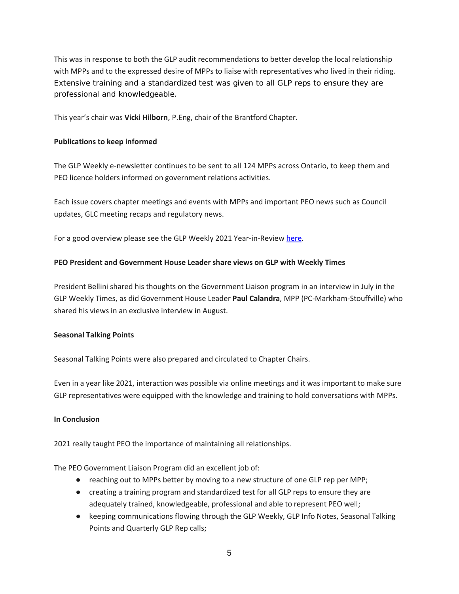This was in response to both the GLP audit recommendations to better develop the local relationship with MPPs and to the expressed desire of MPPs to liaise with representatives who lived in their riding. Extensive training and a standardized test was given to all GLP reps to ensure they are professional and knowledgeable.

This year's chair was **Vicki Hilborn**, P.Eng, chair of the Brantford Chapter.

# **Publications to keep informed**

The GLP Weekly e-newsletter continues to be sent to all 124 MPPs across Ontario, to keep them and PEO licence holders informed on government relations activities.

Each issue covers chapter meetings and events with MPPs and important PEO news such as Council updates, GLC meeting recaps and regulatory news.

For a good overview please see the GLP Weekly 2021 Year-in-Review [here.](https://www.peo.on.ca/sites/default/files/2022-01/GLPWeekly2021YearinReview.pdf)

# **PEO President and Government House Leader share views on GLP with Weekly Times**

President Bellini shared his thoughts on the Government Liaison program in an interview in July in the GLP Weekly Times, as did Government House Leader **Paul Calandra**, MPP (PC-Markham-Stouffville) who shared his views in an exclusive interview in August.

#### **Seasonal Talking Points**

Seasonal Talking Points were also prepared and circulated to Chapter Chairs.

Even in a year like 2021, interaction was possible via online meetings and it was important to make sure GLP representatives were equipped with the knowledge and training to hold conversations with MPPs.

#### **In Conclusion**

2021 really taught PEO the importance of maintaining all relationships.

The PEO Government Liaison Program did an excellent job of:

- reaching out to MPPs better by moving to a new structure of one GLP rep per MPP;
- creating a training program and standardized test for all GLP reps to ensure they are adequately trained, knowledgeable, professional and able to represent PEO well;
- keeping communications flowing through the GLP Weekly, GLP Info Notes, Seasonal Talking Points and Quarterly GLP Rep calls;